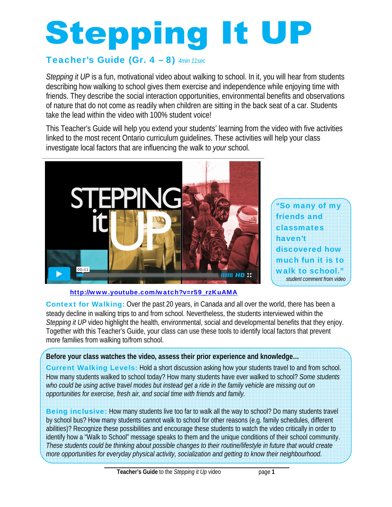# **Stepping It UP**

# Teacher's Guide (Gr. 4 – 8) *4min 11sec*

*Stepping it UP* is a fun, motivational video about walking to school. In it, you will hear from students describing how walking to school gives them exercise and independence while enjoying time with friends. They describe the social interaction opportunities, environmental benefits and observations of nature that do not come as readily when children are sitting in the back seat of a car. Students take the lead within the video with 100% student voice!

This Teacher's Guide will help you extend your students' learning from the video with five activities linked to the most recent Ontario curriculum guidelines. These activities will help your class investigate local factors that are influencing the walk to *your* school.



"So many of my friends and classmates haven't discovered how much fun it is to walk to school." *student comment from video* 

http://www.youtube.com/watch?v=r59\_rzKuAMA

Context for Walking: Over the past 20 years, in Canada and all over the world, there has been a steady decline in walking trips to and from school. Nevertheless, the students interviewed within the *Stepping it UP* video highlight the health, environmental, social and developmental benefits that they enjoy. Together with this Teacher's Guide, your class can use these tools to identify local factors that prevent more families from walking to/from school.

# **Before your class watches the video, assess their prior experience and knowledge…**

Current Walking Levels: Hold a short discussion asking how your students travel to and from school. How many students walked to school today? How many students have ever walked to school? *Some students*  who could be using active travel modes but instead get a ride in the family vehicle are missing out on *opportunities for exercise, fresh air, and social time with friends and family.*

**Being inclusive:** How many students live too far to walk all the way to school? Do many students travel by school bus? How many students cannot walk to school for other reasons (e.g. family schedules, different abilities)? Recognize these possibilities and encourage these students to watch the video critically in order to identify how a "Walk to School" message speaks to them and the unique conditions of their school community. *These students could be thinking about possible changes to their routine/lifestyle in future that would create more opportunities for everyday physical activity, socialization and getting to know their neighbourhood*.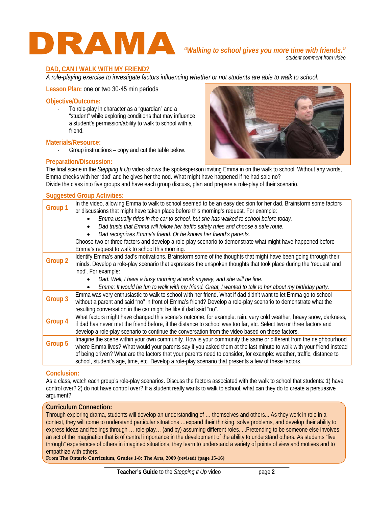

*student comment from video*

# **DAD, CAN I WALK WITH MY FRIEND?**

*A role-playing exercise to investigate factors influencing whether or not students are able to walk to school.*

**Lesson Plan:** one or two 30-45 min periods

## **Objective/Outcome:**

To role-play in character as a "guardian" and a "student" while exploring conditions that may influence a student's permission/ability to walk to school with a friend.

# **Materials/Resource:**

- Group instructions – copy and cut the table below.

# **Preparation/Discussion:**



The final scene in the *Stepping It Up* video shows the spokesperson inviting Emma in on the walk to school. Without any words, Emma checks with her 'dad' and he gives her the nod. What might have happened if he had said no? Divide the class into five groups and have each group discuss, plan and prepare a role-play of their scenario.

# **Suggested Group Activities:**

| Group 1 | In the video, allowing Emma to walk to school seemed to be an easy decision for her dad. Brainstorm some factors     |
|---------|----------------------------------------------------------------------------------------------------------------------|
|         | or discussions that might have taken place before this morning's request. For example:                               |
|         | Emma usually rides in the car to school, but she has walked to school before today.                                  |
|         | Dad trusts that Emma will follow her traffic safety rules and choose a safe route.                                   |
|         | Dad recognizes Emma's friend. Or he knows her friend's parents.                                                      |
|         | Choose two or three factors and develop a role-play scenario to demonstrate what might have happened before          |
|         | Emma's request to walk to school this morning.                                                                       |
| Group 2 | Identify Emma's and dad's motivations. Brainstorm some of the thoughts that might have been going through their      |
|         | minds. Develop a role-play scenario that expresses the unspoken thoughts that took place during the 'request' and    |
|         | 'nod'. For example:                                                                                                  |
|         | Dad: Well, I have a busy morning at work anyway, and she will be fine.                                               |
|         | Emma: It would be fun to walk with my friend. Great, I wanted to talk to her about my birthday party.                |
| Group 3 | Emma was very enthusiastic to walk to school with her friend. What if dad didn't want to let Emma go to school       |
|         | without a parent and said "no" in front of Emma's friend? Develop a role-play scenario to demonstrate what the       |
|         | resulting conversation in the car might be like if dad said "no".                                                    |
| Group 4 | What factors might have changed this scene's outcome, for example: rain, very cold weather, heavy snow, darkness,    |
|         | if dad has never met the friend before, if the distance to school was too far, etc. Select two or three factors and  |
|         | develop a role-play scenario to continue the conversation from the video based on these factors.                     |
| Group 5 | Imagine the scene within your own community. How is your community the same or different from the neighbourhood      |
|         | where Emma lives? What would your parents say if you asked them at the last minute to walk with your friend instead  |
|         | of being driven? What are the factors that your parents need to consider, for example: weather, traffic, distance to |
|         | school, student's age, time, etc. Develop a role-play scenario that presents a few of these factors.                 |
|         |                                                                                                                      |

# **Conclusion:**

As a class, watch each group's role-play scenarios. Discuss the factors associated with the walk to school that students: 1) have control over? 2) do not have control over? If a student really wants to walk to school, what can they do to create a persuasive argument?

# **Curriculum Connection:**

Through exploring drama, students will develop an understanding of … themselves and others... As they work in role in a context, they will come to understand particular situations …expand their thinking, solve problems, and develop their ability to express ideas and feelings through … role-play… (and by) assuming different roles. ...Pretending to be someone else involves an act of the imagination that is of central importance in the development of the ability to understand others. As students "live through" experiences of others in imagined situations, they learn to understand a variety of points of view and motives and to empathize with others.

**From The Ontario Curriculum, Grades 1-8: The Arts, 2009 (revised) (page 15-16)**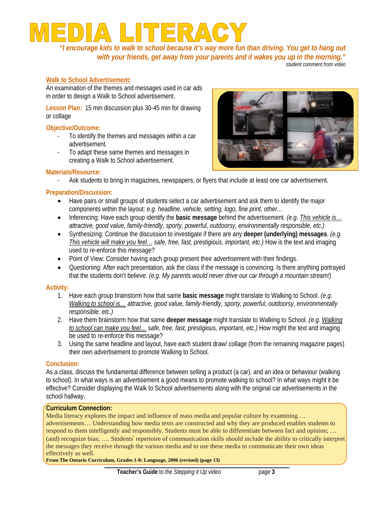*"I encourage kids to walk to school because it's way more fun than driving. You get to hang out with your friends, get away from your parents and it wakes you up in the morning."* 

## *student comment from video*

# **Walk to School Advertisement:**

An examination of the themes and messages used in car ads in order to design a Walk to School advertisement.

**Lesson Plan:** 15 min discussion plus 30-45 min for drawing or collage

# **Objective/Outcome:**

- To identify the themes and messages within a car advertisement.
- To adapt these same themes and messages in creating a Walk to School advertisement.



# **Materials/Resource:**

- Ask students to bring in magazines, newspapers, or flyers that include at least one car advertisement.

# **Preparation/Discussion:**

- Have pairs or small groups of students select a car advertisement and ask them to identify the major components within the layout: *e.g. headline, vehicle, setting, logo, fine print, other…*
- Inferencing: Have each group identify the **basic message** behind the advertisement*. (e.g. This vehicle is… attractive, good value, family-friendly, sporty, powerful, outdoorsy, environmentally responsible, etc.)*
- Synthesizing: Continue the discussion to investigate if there are any **deeper (underlying) messages**. *(e.g. This vehicle will make you feel... safe, free, fast, prestigious, important, etc.)* How is the text and imaging used to re-enforce this message?
- Point of View: Consider having each group present their advertisement with their findings.
- Questioning: After each presentation, ask the class if the message is convincing. Is there anything portrayed that the students don't believe. *(e.g. My parents would never drive our car through a mountain stream!)*

# **Activity:**

- 1. Have each group brainstorm how that same **basic message** might translate to Walking to School. *(e.g. Walking to school is… attractive, good value, family-friendly, sporty, powerful, outdoorsy, environmentally responsible, etc.)*
- 2. Have them brainstorm how that same **deeper message** might translate to Walking to School. *(e.g. Walking*  to school can make you feel... safe, free, fast, prestigious, important, etc.) How might the text and imaging be used to re-enforce this message?
- 3. Using the same headline and layout, have each student draw/ collage (from the remaining magazine pages) their own advertisement to promote Walking to School.

# **Conclusion:**

As a class, discuss the fundamental difference between selling a product (a car), and an idea or behaviour (walking to school). In what ways is an advertisement a good means to promote walking to school? In what ways might it be effective? Consider displaying the Walk to School advertisements along with the original car advertisements in the school hallway.

# **Curriculum Connection:**

Media literacy explores the impact and influence of mass media and popular culture by examining ... advertisements… Understanding how media texts are constructed and why they are produced enables students to respond to them intelligently and responsibly. Students must be able to differentiate between fact and opinion; … (and) recognize bias; …. Students' repertoire of communication skills should include the ability to critically interpret the messages they receive through the various media and to use these media to communicate their own ideas effectively as well.

**From The Ontario Curriculum, Grades 1-8: Language, 2006 (revised) (page 13)**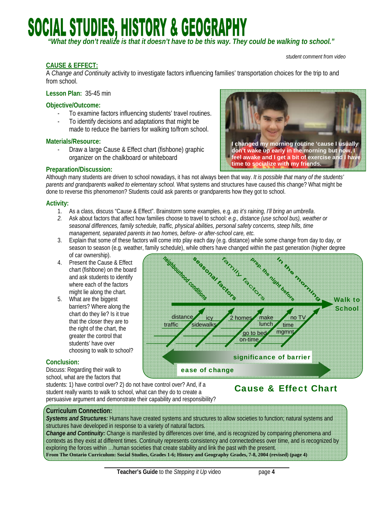# **SOCIAL STUDIES, HISTORY & GEOGRAPHY**

 *"What they don't realize is that it doesn't have to be this way. They could be walking to school."* 

### *student comment from video*

# **CAUSE & EFFECT:**

A *Change and Continuity* activity to investigate factors influencing families' transportation choices for the trip to and from school.

**Lesson Plan:** 35-45 min

# **Objective/Outcome:**

- To examine factors influencing students' travel routines.
- To identify decisions and adaptations that might be made to reduce the barriers for walking to/from school.

# **Materials/Resource:**

Draw a large Cause & Effect chart (fishbone) graphic organizer on the chalkboard or whiteboard



# **Preparation/Discussion:**

Although many students are driven to school nowadays, it has not always been that way. *It is possible that many of the students' parents and grandparents walked to elementary school.* What systems and structures have caused this change? What might be done to reverse this phenomenon? Students could ask parents or grandparents how they got to school.

# **Activity:**

1. As a class, discuss "Cause & Effect". Brainstorm some examples, e.g. *as it's raining, I'll bring an umbrella*.

distance

traffic

- *2.* Ask about factors that affect how families choose to travel to school*: e.g., distance (use school bus), weather or seasonal differences, family schedule, traffic, physical abilities, personal safety concerns, steep hills, time management, separated parents in two homes, before- or after-school care, etc.*
- 3. Explain that some of these factors will come into play each day (e.g. distance) while some change from day to day, or season to season (e.g. weather, family schedule), while others have changed within the past generation (higher degree<br>of car ownership).<br>Present the Cause & Effect and the past growth on the board of the board of the board of car ownership). TOMAL.
- 4. Present the Cause & Effect chart (fishbone) on the board and ask students to identify where each of the factors might lie along the chart.
- 5. What are the biggest barriers? Where along the chart do they lie? Is it true that the closer they are to the right of the chart, the greater the control that students' have over choosing to walk to school?

# **Conclusion:**

Discuss: Regarding their walk to school, what are the factors that

students: 1) have control over? 2) do not have control over? And, if a student really wants to walk to school, what can they do to create a persuasive argument and demonstrate their capability and responsibility?

# Cause & Effect Chart

 $noT$  time mgmnt

significance of barrier

lunch

2 homes make

indosom

 go to bed on-time

Walk to School

## **Curriculum Connection:**

*Systems and Structures:* Humans have created systems and structures to allow societies to function; natural systems and structures have developed in response to a variety of natural factors.

ease of change

 icy sidewalks

*Change and Continuity:* Change is manifested by differences over time, and is recognized by comparing phenomena and contexts as they exist at different times. Continuity represents consistency and connectedness over time, and is recognized by exploring the forces within …human societies that create stability and link the past with the present. **From The Ontario Curriculum: Social Studies, Grades 1-6; History and Geography Grades, 7-8, 2004 (revised) (page 4)**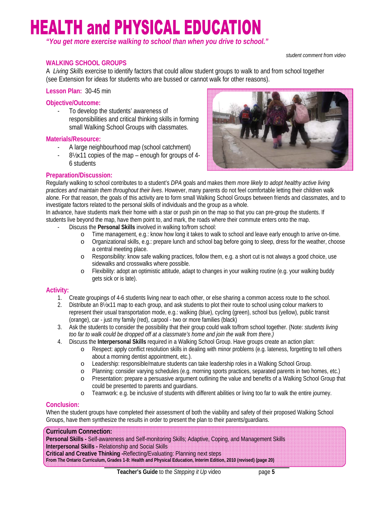# **HEALTH and PHYSICAL EDUCATION**

*"You get more exercise walking to school than when you drive to school."* 

*student comment from video*

# **WALKING SCHOOL GROUPS**

A *Living Skills* exercise to identify factors that could allow student groups to walk to and from school together (see Extension for ideas for students who are bussed or cannot walk for other reasons).

**Lesson Plan:** 30-45 min

# **Objective/Outcome:**

To develop the students' awareness of responsibilities and critical thinking skills in forming small Walking School Groups with classmates.

# **Materials/Resource:**

- A large neighbourhood map (school catchment)
- 8½x11 copies of the map enough for groups of 4- 6 students



# **Preparation/Discussion:**

Regularly walking to school contributes to a student's *DPA* goals and makes them *more likely to adopt healthy active living practices and maintain them throughout their lives*. However, many parents do not feel comfortable letting their children walk alone. For that reason, the goals of this activity are to form small Walking School Groups between friends and classmates, and to investigate factors related to the personal skills of individuals and the group as a whole.

In advance, have students mark their home with a star or push pin on the map so that you can pre-group the students. If students live beyond the map, have them point to, and mark, the roads where their commute enters onto the map.

- Discuss the **Personal Skills** involved in walking to/from school:
	- o Time management, e.g.: know how long it takes to walk to school and leave early enough to arrive on-time.
	- o Organizational skills, e.g.: prepare lunch and school bag before going to sleep, dress for the weather, choose a central meeting place.
	- o Responsibility: know safe walking practices, follow them, e.g. a short cut is not always a good choice, use sidewalks and crosswalks where possible.
	- o Flexibility: adopt an optimistic attitude, adapt to changes in your walking routine (e.g. your walking buddy gets sick or is late).

# **Activity:**

- 1. Create groupings of 4-6 students living near to each other, or else sharing a common access route to the school.
- 2. Distribute an 8½x11 map to each group, and ask students to plot their route to school using colour markers to represent their usual transportation mode, e.g.: walking (blue), cycling (green), school bus (yellow), public transit (orange), car - just my family (red), carpool - two or more families (black)
- 3. Ask the students to consider the possibility that their group could walk to/from school together. (Note: *students living too far to walk could be dropped off at a classmate's home and join the walk from there.)*
- 4. Discuss the **Interpersonal Skills** required in a Walking School Group. Have groups create an action plan:
	- o Respect: apply conflict resolution skills in dealing with minor problems (e.g. lateness, forgetting to tell others about a morning dentist appointment, etc.).
	- o Leadership: responsible/mature students can take leadership roles in a Walking School Group.
	- o Planning: consider varying schedules (e.g. morning sports practices, separated parents in two homes, etc.)
	- o Presentation: prepare a persuasive argument outlining the value and benefits of a Walking School Group that could be presented to parents and guardians.
	- o Teamwork: e.g. be inclusive of students with different abilities or living too far to walk the entire journey.

# **Conclusion:**

When the student groups have completed their assessment of both the viability and safety of their proposed Walking School Groups, have them synthesize the results in order to present the plan to their parents/guardians.

# **Curriculum Connection:**

**Personal Skills -** Self-awareness and Self-monitoring Skills; Adaptive, Coping, and Management Skills **Interpersonal Skills -** Relationship and Social Skills

**Critical and Creative Thinking -**Reflecting/Evaluating: Planning next steps

**From The Ontario Curriculum, Grades 1-8: Health and Physical Education, Interim Edition, 2010 (revised) (page 20)**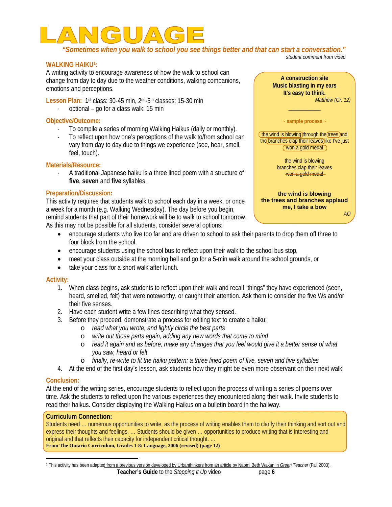

 *"Sometimes when you walk to school you see things better and that can start a conversation." student comment from video* 

**WALKING HAIKU1:**

A writing activity to encourage awareness of how the walk to school can change from day to day due to the weather conditions, walking companions, emotions and perceptions.

Lesson Plan: 1<sup>st</sup> class: 30-45 min, 2<sup>nd</sup>-5<sup>th</sup> classes: 15-30 min

optional – go for a class walk: 15 min

# **Objective/Outcome:**

- To compile a series of morning Walking Haikus (daily or monthly).
- To reflect upon how one's perceptions of the walk to/from school can vary from day to day due to things we experience (see, hear, smell, feel, touch).

# **Materials/Resource:**

- A traditional Japanese haiku is a three lined poem with a structure of **five**, **seven** and **five** syllables.

# **Preparation/Discussion:**

This activity requires that students walk to school each day in a week, or once a week for a month (e.g. Walking Wednesday). The day before you begin, remind students that part of their homework will be to walk to school tomorrow. As this may not be possible for all students, consider several options:

- encourage students who live too far and are driven to school to ask their parents to drop them off three to four block from the school,
- encourage students using the school bus to reflect upon their walk to the school bus stop,
- meet your class outside at the morning bell and go for a 5-min walk around the school grounds, or
- take your class for a short walk after lunch.

# **Activity:**

- 1. When class begins, ask students to reflect upon their walk and recall "things" they have experienced (seen, heard, smelled, felt) that were noteworthy, or caught their attention. Ask them to consider the five Ws and/or their five senses.
- 2. Have each student write a few lines describing what they sensed.
- 3. Before they proceed, demonstrate a process for editing text to create a haiku:
	- o *read what you wrote, and lightly circle the best parts*
	- o *write out those parts again, adding any new words that come to mind*
	- o *read it again and as before, make any changes that you feel would give it a better sense of what you saw, heard or felt*
	- o *finally, re-write to fit the haiku pattern: a three lined poem of five, seven and five syllables*
- 4. At the end of the first day's lesson, ask students how they might be even more observant on their next walk.

# **Conclusion:**

At the end of the writing series, encourage students to reflect upon the process of writing a series of poems over time. Ask the students to reflect upon the various experiences they encountered along their walk. Invite students to read their haikus. Consider displaying the Walking Haikus on a bulletin board in the hallway.

# **Curriculum Connection:**

Students need … numerous opportunities to write, as the process of writing enables them to clarify their thinking and sort out and express their thoughts and feelings. … Students should be given … opportunities to produce writing that is interesting and original and that reflects their capacity for independent critical thought. … **From The Ontario Curriculum, Grades 1-8: Language, 2006 (revised) (page 12)** 

**Teacher's Guide** to the *Stepping it Up* video page **6**  1 This activity has been adapted from a previous version developed by Urbanthinkers from an article by Naomi Beth Wakan in *Green Teacher* (Fall 2003).



**the wind is blowing the trees and branches applaud me, I take a bow**  *AO*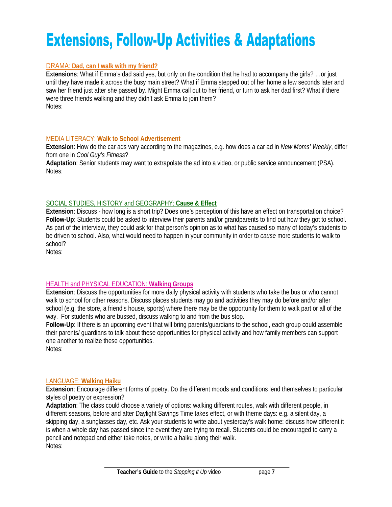# **Extensions, Follow-Up Activities & Adaptations**

# DRAMA: **Dad, can I walk with my friend?**

**Extensions**: What if Emma's dad said yes, but only on the condition that he had to accompany the girls? …or just until they have made it across the busy main street? What if Emma stepped out of her home a few seconds later and saw her friend just after she passed by. Might Emma call out to her friend, or turn to ask her dad first? What if there were three friends walking and they didn't ask Emma to join them? Notes:

# MEDIA LITERACY: **Walk to School Advertisement**

**Extension**: How do the car ads vary according to the magazines, e.g. how does a car ad in *New Moms' Weekly*, differ from one in *Cool Guy's Fitness*?

**Adaptation**: Senior students may want to extrapolate the ad into a video, or public service announcement (PSA). Notes:

# SOCIAL STUDIES, HISTORY and GEOGRAPHY: **Cause & Effect**

**Extension**: Discuss - how long is a short trip? Does one's perception of this have an effect on transportation choice? **Follow-Up**: Students could be asked to interview their parents and/or grandparents to find out how they got to school. As part of the interview, they could ask for that person's opinion as to what has caused so many of today's students to be driven to school. Also, what would need to happen in your community in order to *cause* more students to walk to school?

Notes:

# HEALTH and PHYSICAL EDUCATION: **Walking Groups**

**Extension**: Discuss the opportunities for more daily physical activity with students who take the bus or who cannot walk to school for other reasons. Discuss places students may go and activities they may do before and/or after school (e.g. the store, a friend's house, sports) where there may be the opportunity for them to walk part or all of the way. For students who are bussed, discuss walking to and from the bus stop.

**Follow-Up**: If there is an upcoming event that will bring parents/guardians to the school, each group could assemble their parents/ guardians to talk about these opportunities for physical activity and how family members can support one another to realize these opportunities.

Notes:

# LANGUAGE: **Walking Haiku**

**Extension**: Encourage different forms of poetry. Do the different moods and conditions lend themselves to particular styles of poetry or expression?

**Adaptation**: The class could choose a variety of options: walking different routes, walk with different people, in different seasons, before and after Daylight Savings Time takes effect, or with theme days: e.g. a silent day, a skipping day, a sunglasses day, etc. Ask your students to write about yesterday's walk home: discuss how different it is when a whole day has passed since the event they are trying to recall. Students could be encouraged to carry a pencil and notepad and either take notes, or write a haiku along their walk. Notes: